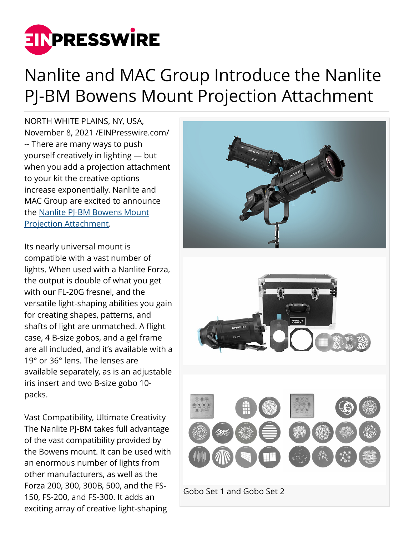

# Nanlite and MAC Group Introduce the Nanlite PJ-BM Bowens Mount Projection Attachment

NORTH WHITE PLAINS, NY, USA, November 8, 2021 /[EINPresswire.com/](http://www.einpresswire.com) -- There are many ways to push yourself creatively in lighting — but when you add a projection attachment to your kit the creative options increase exponentially. Nanlite and MAC Group are excited to announce the [Nanlite PJ-BM Bowens Mount](https://nanliteus.com/search?q=Nanlite+Projection+Attachment+for+Bowens+Mount&type=product) [Projection Attachment.](https://nanliteus.com/search?q=Nanlite+Projection+Attachment+for+Bowens+Mount&type=product)

Its nearly universal mount is compatible with a vast number of lights. When used with a Nanlite Forza, the output is double of what you get with our FL-20G fresnel, and the versatile light-shaping abilities you gain for creating shapes, patterns, and shafts of light are unmatched. A flight case, 4 B-size gobos, and a gel frame are all included, and it's available with a 19° or 36° lens. The lenses are available separately, as is an adjustable iris insert and two B-size gobo 10 packs.

Vast Compatibility, Ultimate Creativity The Nanlite PJ-BM takes full advantage of the vast compatibility provided by the Bowens mount. It can be used with an enormous number of lights from other manufacturers, as well as the Forza 200, 300, 300B, 500, and the FS-150, FS-200, and FS-300. It adds an exciting array of creative light-shaping

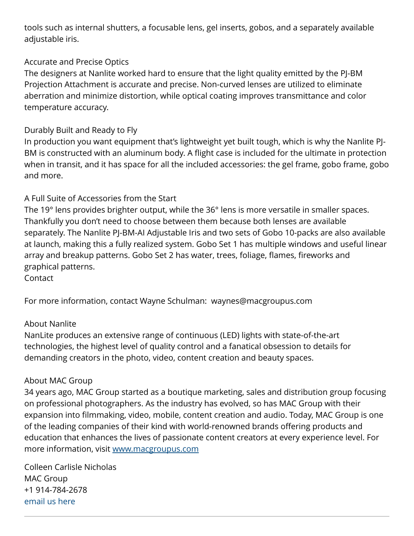tools such as internal shutters, a focusable lens, gel inserts, gobos, and a separately available adjustable iris.

### Accurate and Precise Optics

The designers at Nanlite worked hard to ensure that the light quality emitted by the PJ-BM Projection Attachment is accurate and precise. Non-curved lenses are utilized to eliminate aberration and minimize distortion, while optical coating improves transmittance and color temperature accuracy.

## Durably Built and Ready to Fly

In production you want equipment that's lightweight yet built tough, which is why the Nanlite PJ-BM is constructed with an aluminum body. A flight case is included for the ultimate in protection when in transit, and it has space for all the included accessories: the gel frame, gobo frame, gobo and more.

## A Full Suite of Accessories from the Start

The 19° lens provides brighter output, while the 36° lens is more versatile in smaller spaces. Thankfully you don't need to choose between them because both lenses are available separately. The Nanlite PJ-BM-AI Adjustable Iris and two sets of Gobo 10-packs are also available at launch, making this a fully realized system. Gobo Set 1 has multiple windows and useful linear array and breakup patterns. Gobo Set 2 has water, trees, foliage, flames, fireworks and graphical patterns.

Contact

For more information, contact Wayne Schulman: waynes@macgroupus.com

### About Nanlite

NanLite produces an extensive range of continuous (LED) lights with state-of-the-art technologies, the highest level of quality control and a fanatical obsession to details for demanding creators in the photo, video, content creation and beauty spaces.

### About MAC Group

34 years ago, MAC Group started as a boutique marketing, sales and distribution group focusing on professional photographers. As the industry has evolved, so has MAC Group with their expansion into filmmaking, video, mobile, content creation and audio. Today, MAC Group is one of the leading companies of their kind with world-renowned brands offering products and education that enhances the lives of passionate content creators at every experience level. For more information, visit [www.macgroupus.com](https://www.macgroupus.com/)

Colleen Carlisle Nicholas MAC Group +1 914-784-2678 [email us here](http://www.einpresswire.com/contact_author/3193134)